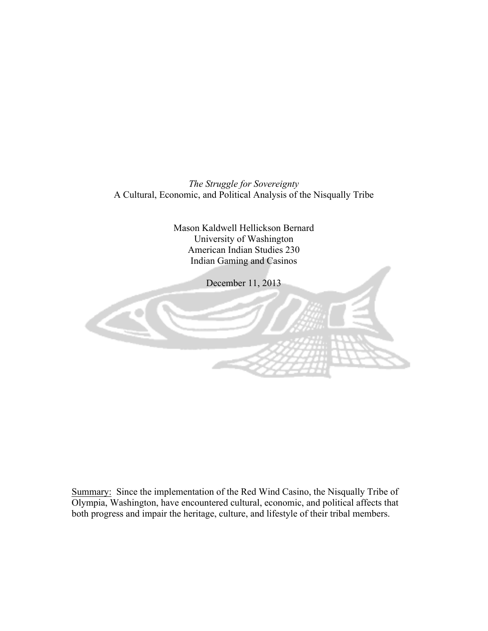*The Struggle for Sovereignty*  A Cultural, Economic, and Political Analysis of the Nisqually Tribe

> Mason Kaldwell Hellickson Bernard University of Washington American Indian Studies 230 Indian Gaming and Casinos

> > December 11, 2013



Summary: Since the implementation of the Red Wind Casino, the Nisqually Tribe of Olympia, Washington, have encountered cultural, economic, and political affects that both progress and impair the heritage, culture, and lifestyle of their tribal members.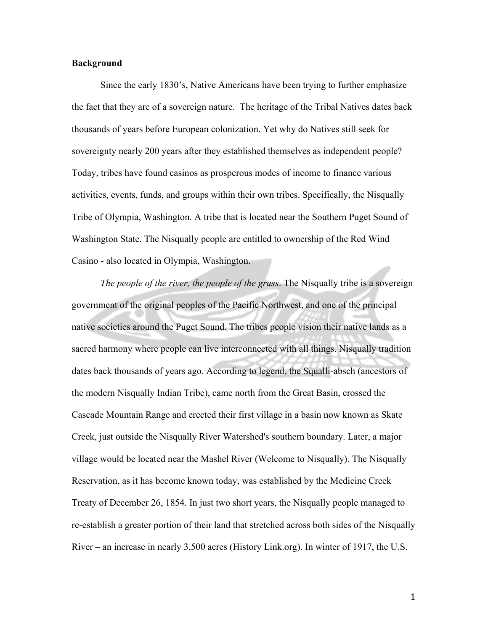## **Background**

Since the early 1830's, Native Americans have been trying to further emphasize the fact that they are of a sovereign nature. The heritage of the Tribal Natives dates back thousands of years before European colonization. Yet why do Natives still seek for sovereignty nearly 200 years after they established themselves as independent people? Today, tribes have found casinos as prosperous modes of income to finance various activities, events, funds, and groups within their own tribes. Specifically, the Nisqually Tribe of Olympia, Washington. A tribe that is located near the Southern Puget Sound of Washington State. The Nisqually people are entitled to ownership of the Red Wind Casino - also located in Olympia, Washington.

*The people of the river, the people of the grass*. The Nisqually tribe is a sovereign government of the original peoples of the Pacific Northwest, and one of the principal native societies around the Puget Sound. The tribes people vision their native lands as a sacred harmony where people can live interconnected with all things. Nisqually tradition dates back thousands of years ago. According to legend, the Squalli-absch (ancestors of the modern Nisqually Indian Tribe), came north from the Great Basin, crossed the Cascade Mountain Range and erected their first village in a basin now known as Skate Creek, just outside the Nisqually River Watershed's southern boundary. Later, a major village would be located near the Mashel River (Welcome to Nisqually). The Nisqually Reservation, as it has become known today, was established by the Medicine Creek Treaty of December 26, 1854. In just two short years, the Nisqually people managed to re-establish a greater portion of their land that stretched across both sides of the Nisqually River – an increase in nearly 3,500 acres (History Link.org). In winter of 1917, the U.S.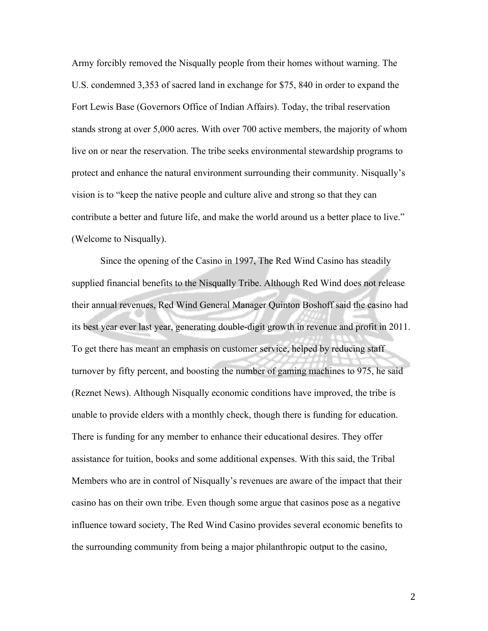Army forcibly removed the Nisqually people from their homes without warning. The U.S. condemned 3,353 of sacred land in exchange for \$75, 840 in order to expand the Fort Lewis Base (Governors Office of Indian Affairs). Today, the tribal reservation stands strong at over 5,000 acres. With over 700 active members, the majority of whom live on or near the reservation. The tribe seeks environmental stewardship programs to protect and enhance the natural environment surrounding their community. Nisqually's vision is to "keep the native people and culture alive and strong so that they can contribute a better and future life, and make the world around us a better place to live." (Welcome to Nisqually).

Since the opening of the Casino in 1997, The Red Wind Casino has steadily supplied financial benefits to the Nisqually Tribe. Although Red Wind does not release their annual revenues, Red Wind General Manager Quinton Boshoff said the casino had its best year ever last year, generating double-digit growth in revenue and profit in 2011. To get there has meant an emphasis on customer service, helped by reducing staff turnover by fifty percent, and boosting the number of gaming machines to 975, he said (Reznet News). Although Nisqually economic conditions have improved, the tribe is unable to provide elders with a monthly check, though there is funding for education. There is funding for any member to enhance their educational desires. They offer assistance for tuition, books and some additional expenses. With this said, the Tribal Members who are in control of Nisqually's revenues are aware of the impact that their casino has on their own tribe. Even though some argue that casinos pose as a negative influence toward society, The Red Wind Casino provides several economic benefits to the surrounding community from being a major philanthropic output to the casino,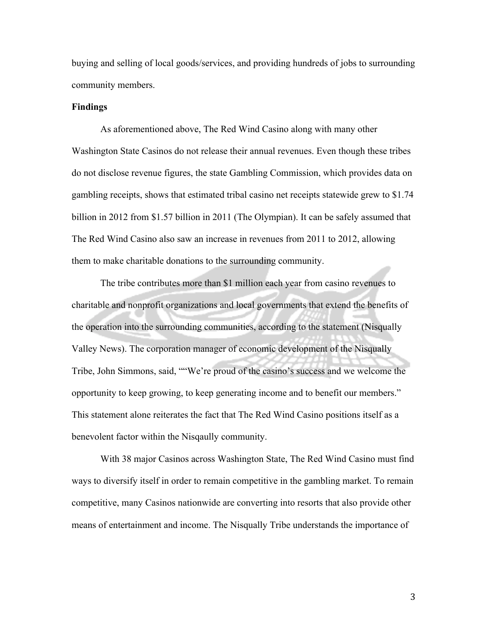buying and selling of local goods/services, and providing hundreds of jobs to surrounding community members.

## **Findings**

As aforementioned above, The Red Wind Casino along with many other Washington State Casinos do not release their annual revenues. Even though these tribes do not disclose revenue figures, the state Gambling Commission, which provides data on gambling receipts, shows that estimated tribal casino net receipts statewide grew to \$1.74 billion in 2012 from \$1.57 billion in 2011 (The Olympian). It can be safely assumed that The Red Wind Casino also saw an increase in revenues from 2011 to 2012, allowing them to make charitable donations to the surrounding community.

The tribe contributes more than \$1 million each year from casino revenues to charitable and nonprofit organizations and local governments that extend the benefits of the operation into the surrounding communities, according to the statement (Nisqually Valley News). The corporation manager of economic development of the Nisqually Tribe, John Simmons, said, ""We're proud of the casino's success and we welcome the opportunity to keep growing, to keep generating income and to benefit our members." This statement alone reiterates the fact that The Red Wind Casino positions itself as a benevolent factor within the Nisqaully community.

With 38 major Casinos across Washington State, The Red Wind Casino must find ways to diversify itself in order to remain competitive in the gambling market. To remain competitive, many Casinos nationwide are converting into resorts that also provide other means of entertainment and income. The Nisqually Tribe understands the importance of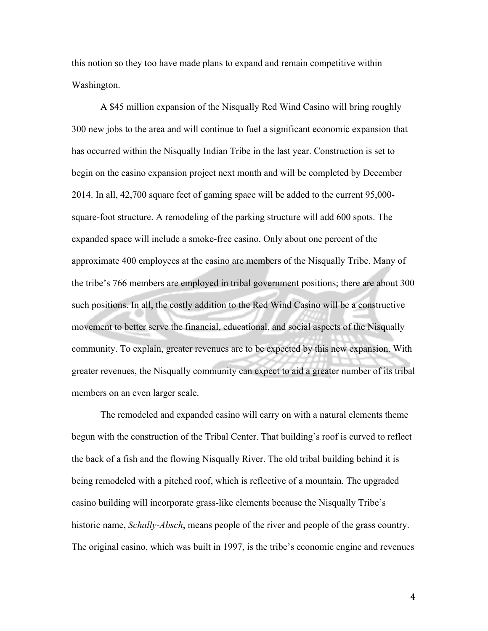this notion so they too have made plans to expand and remain competitive within Washington.

A \$45 million expansion of the Nisqually Red Wind Casino will bring roughly 300 new jobs to the area and will continue to fuel a significant economic expansion that has occurred within the Nisqually Indian Tribe in the last year. Construction is set to begin on the casino expansion project next month and will be completed by December 2014. In all, 42,700 square feet of gaming space will be added to the current 95,000 square-foot structure. A remodeling of the parking structure will add 600 spots. The expanded space will include a smoke-free casino. Only about one percent of the approximate 400 employees at the casino are members of the Nisqually Tribe. Many of the tribe's 766 members are employed in tribal government positions; there are about 300 such positions. In all, the costly addition to the Red Wind Casino will be a constructive movement to better serve the financial, educational, and social aspects of the Nisqually community. To explain, greater revenues are to be expected by this new expansion. With greater revenues, the Nisqually community can expect to aid a greater number of its tribal members on an even larger scale.

The remodeled and expanded casino will carry on with a natural elements theme begun with the construction of the Tribal Center. That building's roof is curved to reflect the back of a fish and the flowing Nisqually River. The old tribal building behind it is being remodeled with a pitched roof, which is reflective of a mountain. The upgraded casino building will incorporate grass-like elements because the Nisqually Tribe's historic name, *Schally-Absch*, means people of the river and people of the grass country. The original casino, which was built in 1997, is the tribe's economic engine and revenues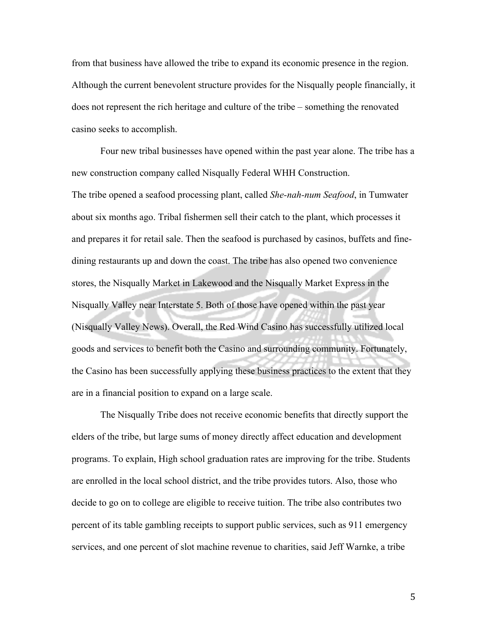from that business have allowed the tribe to expand its economic presence in the region. Although the current benevolent structure provides for the Nisqually people financially, it does not represent the rich heritage and culture of the tribe – something the renovated casino seeks to accomplish.

Four new tribal businesses have opened within the past year alone. The tribe has a new construction company called Nisqually Federal WHH Construction. The tribe opened a seafood processing plant, called *She-nah-num Seafood*, in Tumwater about six months ago. Tribal fishermen sell their catch to the plant, which processes it and prepares it for retail sale. Then the seafood is purchased by casinos, buffets and finedining restaurants up and down the coast. The tribe has also opened two convenience stores, the Nisqually Market in Lakewood and the Nisqually Market Express in the Nisqually Valley near Interstate 5. Both of those have opened within the past year (Nisqually Valley News). Overall, the Red Wind Casino has successfully utilized local goods and services to benefit both the Casino and surrounding community. Fortunately, the Casino has been successfully applying these business practices to the extent that they are in a financial position to expand on a large scale.

The Nisqually Tribe does not receive economic benefits that directly support the elders of the tribe, but large sums of money directly affect education and development programs. To explain, High school graduation rates are improving for the tribe. Students are enrolled in the local school district, and the tribe provides tutors. Also, those who decide to go on to college are eligible to receive tuition. The tribe also contributes two percent of its table gambling receipts to support public services, such as 911 emergency services, and one percent of slot machine revenue to charities, said Jeff Warnke, a tribe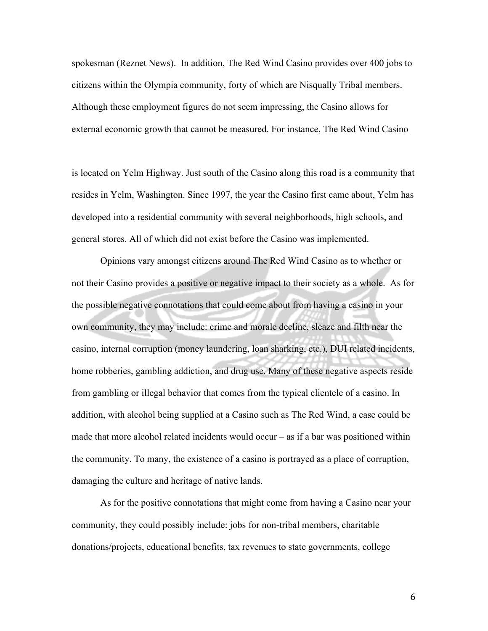spokesman (Reznet News). In addition, The Red Wind Casino provides over 400 jobs to citizens within the Olympia community, forty of which are Nisqually Tribal members. Although these employment figures do not seem impressing, the Casino allows for external economic growth that cannot be measured. For instance, The Red Wind Casino

is located on Yelm Highway. Just south of the Casino along this road is a community that resides in Yelm, Washington. Since 1997, the year the Casino first came about, Yelm has developed into a residential community with several neighborhoods, high schools, and general stores. All of which did not exist before the Casino was implemented.

Opinions vary amongst citizens around The Red Wind Casino as to whether or not their Casino provides a positive or negative impact to their society as a whole. As for the possible negative connotations that could come about from having a casino in your own community, they may include: crime and morale decline, sleaze and filth near the casino, internal corruption (money laundering, loan sharking, etc.), DUI related incidents, home robberies, gambling addiction, and drug use. Many of these negative aspects reside from gambling or illegal behavior that comes from the typical clientele of a casino. In addition, with alcohol being supplied at a Casino such as The Red Wind, a case could be made that more alcohol related incidents would occur – as if a bar was positioned within the community. To many, the existence of a casino is portrayed as a place of corruption, damaging the culture and heritage of native lands.

As for the positive connotations that might come from having a Casino near your community, they could possibly include: jobs for non-tribal members, charitable donations/projects, educational benefits, tax revenues to state governments, college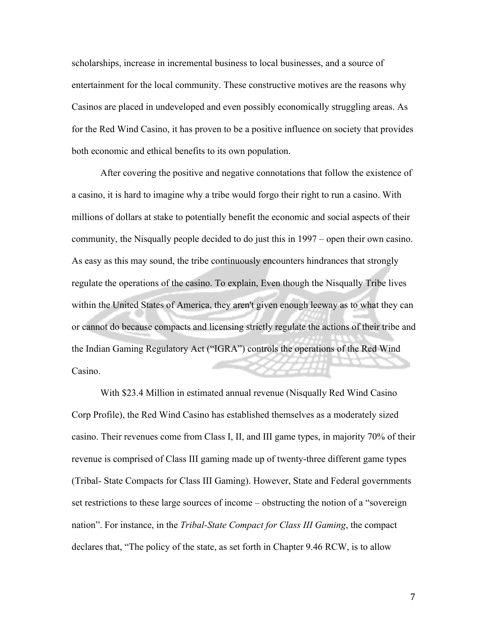scholarships, increase in incremental business to local businesses, and a source of entertainment for the local community. These constructive motives are the reasons why Casinos are placed in undeveloped and even possibly economically struggling areas. As for the Red Wind Casino, it has proven to be a positive influence on society that provides both economic and ethical benefits to its own population.

After covering the positive and negative connotations that follow the existence of a casino, it is hard to imagine why a tribe would forgo their right to run a casino. With millions of dollars at stake to potentially benefit the economic and social aspects of their community, the Nisqually people decided to do just this in 1997 – open their own casino. As easy as this may sound, the tribe continuously encounters hindrances that strongly regulate the operations of the casino. To explain, Even though the Nisqually Tribe lives within the United States of America, they aren't given enough leeway as to what they can or cannot do because compacts and licensing strictly regulate the actions of their tribe and the Indian Gaming Regulatory Act ("IGRA") controls the operations of the Red Wind Casino.

With \$23.4 Million in estimated annual revenue (Nisqually Red Wind Casino Corp Profile), the Red Wind Casino has established themselves as a moderately sized casino. Their revenues come from Class I, II, and III game types, in majority 70% of their revenue is comprised of Class III gaming made up of twenty-three different game types (Tribal- State Compacts for Class III Gaming). However, State and Federal governments set restrictions to these large sources of income – obstructing the notion of a "sovereign nation". For instance, in the *Tribal-State Compact for Class III Gaming*, the compact declares that, "The policy of the state, as set forth in Chapter 9.46 RCW, is to allow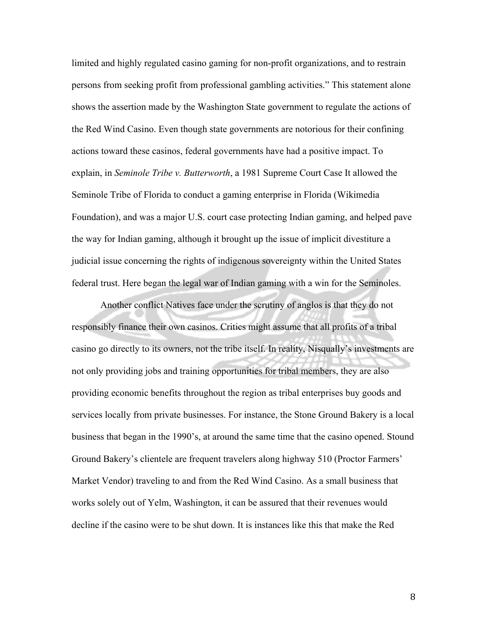limited and highly regulated casino gaming for non-profit organizations, and to restrain persons from seeking profit from professional gambling activities." This statement alone shows the assertion made by the Washington State government to regulate the actions of the Red Wind Casino. Even though state governments are notorious for their confining actions toward these casinos, federal governments have had a positive impact. To explain, in *Seminole Tribe v. Butterworth*, a 1981 Supreme Court Case It allowed the Seminole Tribe of Florida to conduct a gaming enterprise in Florida (Wikimedia Foundation), and was a major U.S. court case protecting Indian gaming, and helped pave the way for Indian gaming, although it brought up the issue of implicit divestiture a judicial issue concerning the rights of indigenous sovereignty within the United States federal trust. Here began the legal war of Indian gaming with a win for the Seminoles.

Another conflict Natives face under the scrutiny of anglos is that they do not responsibly finance their own casinos. Critics might assume that all profits of a tribal casino go directly to its owners, not the tribe itself. In reality, Nisqually's investments are not only providing jobs and training opportunities for tribal members, they are also providing economic benefits throughout the region as tribal enterprises buy goods and services locally from private businesses. For instance, the Stone Ground Bakery is a local business that began in the 1990's, at around the same time that the casino opened. Stound Ground Bakery's clientele are frequent travelers along highway 510 (Proctor Farmers' Market Vendor) traveling to and from the Red Wind Casino. As a small business that works solely out of Yelm, Washington, it can be assured that their revenues would decline if the casino were to be shut down. It is instances like this that make the Red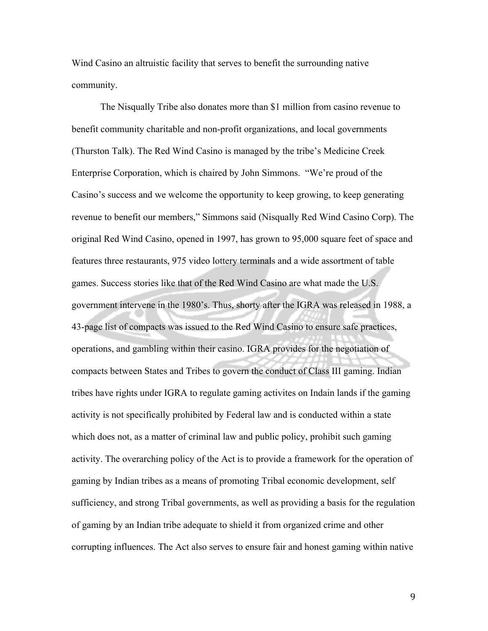Wind Casino an altruistic facility that serves to benefit the surrounding native community.

The Nisqually Tribe also donates more than \$1 million from casino revenue to benefit community charitable and non-profit organizations, and local governments (Thurston Talk). The Red Wind Casino is managed by the tribe's Medicine Creek Enterprise Corporation, which is chaired by John Simmons. "We're proud of the Casino's success and we welcome the opportunity to keep growing, to keep generating revenue to benefit our members," Simmons said (Nisqually Red Wind Casino Corp). The original Red Wind Casino, opened in 1997, has grown to 95,000 square feet of space and features three restaurants, 975 video lottery terminals and a wide assortment of table games. Success stories like that of the Red Wind Casino are what made the U.S. government intervene in the 1980's. Thus, shorty after the IGRA was released in 1988, a 43-page list of compacts was issued to the Red Wind Casino to ensure safe practices, operations, and gambling within their casino. IGRA provides for the negotiation of compacts between States and Tribes to govern the conduct of Class III gaming. Indian tribes have rights under IGRA to regulate gaming activites on Indain lands if the gaming activity is not specifically prohibited by Federal law and is conducted within a state which does not, as a matter of criminal law and public policy, prohibit such gaming activity. The overarching policy of the Act is to provide a framework for the operation of gaming by Indian tribes as a means of promoting Tribal economic development, self sufficiency, and strong Tribal governments, as well as providing a basis for the regulation of gaming by an Indian tribe adequate to shield it from organized crime and other corrupting influences. The Act also serves to ensure fair and honest gaming within native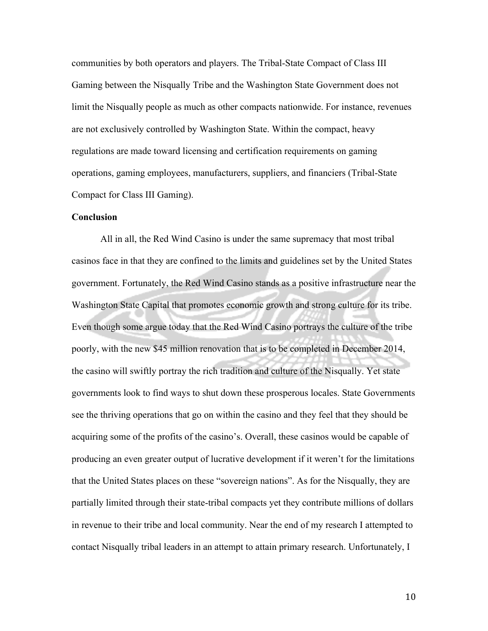communities by both operators and players. The Tribal-State Compact of Class III Gaming between the Nisqually Tribe and the Washington State Government does not limit the Nisqually people as much as other compacts nationwide. For instance, revenues are not exclusively controlled by Washington State. Within the compact, heavy regulations are made toward licensing and certification requirements on gaming operations, gaming employees, manufacturers, suppliers, and financiers (Tribal-State Compact for Class III Gaming).

## **Conclusion**

All in all, the Red Wind Casino is under the same supremacy that most tribal casinos face in that they are confined to the limits and guidelines set by the United States government. Fortunately, the Red Wind Casino stands as a positive infrastructure near the Washington State Capital that promotes economic growth and strong culture for its tribe. Even though some argue today that the Red Wind Casino portrays the culture of the tribe poorly, with the new \$45 million renovation that is to be completed in December 2014, the casino will swiftly portray the rich tradition and culture of the Nisqually. Yet state governments look to find ways to shut down these prosperous locales. State Governments see the thriving operations that go on within the casino and they feel that they should be acquiring some of the profits of the casino's. Overall, these casinos would be capable of producing an even greater output of lucrative development if it weren't for the limitations that the United States places on these "sovereign nations". As for the Nisqually, they are partially limited through their state-tribal compacts yet they contribute millions of dollars in revenue to their tribe and local community. Near the end of my research I attempted to contact Nisqually tribal leaders in an attempt to attain primary research. Unfortunately, I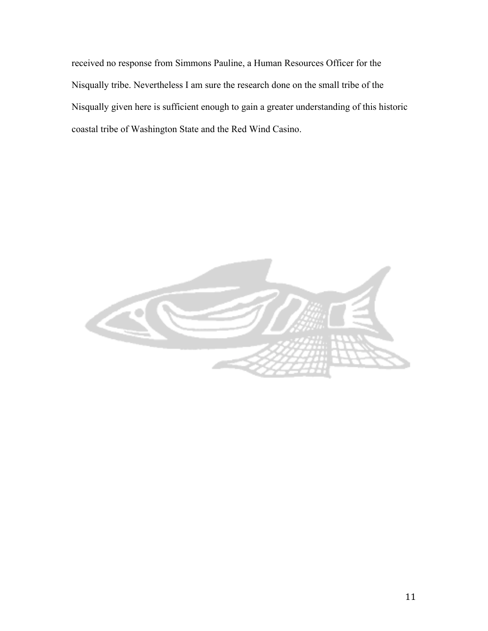received no response from Simmons Pauline, a Human Resources Officer for the Nisqually tribe. Nevertheless I am sure the research done on the small tribe of the Nisqually given here is sufficient enough to gain a greater understanding of this historic coastal tribe of Washington State and the Red Wind Casino.